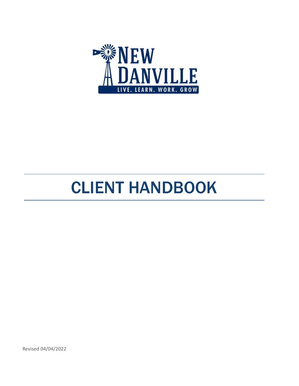

# CLIENT HANDBOOK

Revised 04/04/2022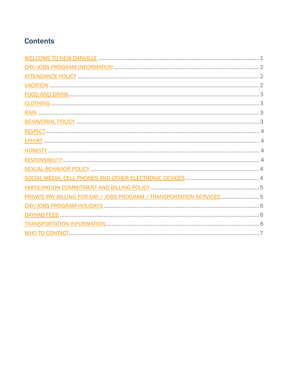## **Contents**

<span id="page-1-0"></span>

| PRIVATE-PAY BILLING FOR DAY / JOBS PROGRAM / TRANSPORTATION SERVICES  5 |
|-------------------------------------------------------------------------|
|                                                                         |
|                                                                         |
|                                                                         |
|                                                                         |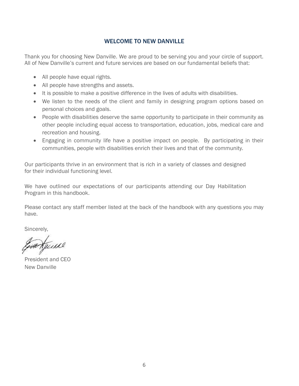## WELCOME TO NEW DANVILLE

Thank you for choosing New Danville. We are proud to be serving you and your circle of support. All of New Danville's current and future services are based on our fundamental beliefs that:

- All people have equal rights.
- All people have strengths and assets.
- It is possible to make a positive difference in the lives of adults with disabilities.
- We listen to the needs of the client and family in designing program options based on personal choices and goals.
- People with disabilities deserve the same opportunity to participate in their community as other people including equal access to transportation, education, jobs, medical care and recreation and housing.
- Engaging in community life have a positive impact on people. By participating in their communities, people with disabilities enrich their lives and that of the community.

Our participants thrive in an environment that is rich in a variety of classes and designed for their individual functioning level.

We have outlined our expectations of our participants attending our Day Habilitation Program in this handbook.

Please contact any staff member listed at the back of the handbook with any questions you may have.

Sincerely,

HA KJUILLE

President and CEO New Danville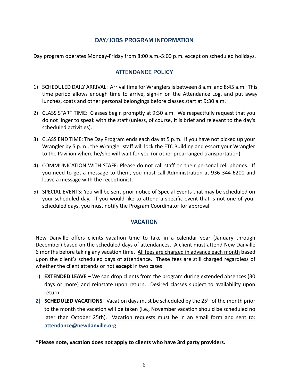## DAY/JOBS PROGRAM INFORMATION

<span id="page-3-1"></span><span id="page-3-0"></span>Day program operates Monday-Friday from 8:00 a.m.-5:00 p.m. except on scheduled holidays.

## ATTENDANCE POLICY

- 1) SCHEDULED DAILY ARRIVAL: Arrival time for Wranglers is between 8 a.m. and 8:45 a.m. This time period allows enough time to arrive, sign-in on the Attendance Log, and put away lunches, coats and other personal belongings before classes start at 9:30 a.m.
- 2) CLASS START TIME: Classes begin promptly at 9:30 a.m. We respectfully request that you do not linger to speak with the staff (unless, of course, it is brief and relevant to the day's scheduled activities).
- 3) CLASS END TIME: The Day Program ends each day at 5 p.m. If you have not picked up your Wrangler by 5 p.m., the Wrangler staff will lock the ETC Building and escort your Wrangler to the Pavilion where he/she will wait for you (or other prearranged transportation).
- 4) COMMUNICATION WITH STAFF: Please do not call staff on their personal cell phones. If you need to get a message to them, you must call Administration at 936-344-6200 and leave a message with the receptionist.
- 5) SPECIAL EVENTS: You will be sent prior notice of Special Events that may be scheduled on your scheduled day. If you would like to attend a specific event that is not one of your scheduled days, you must notify the Program Coordinator for approval.

#### **VACATION**

<span id="page-3-2"></span>New Danville offers clients vacation time to take in a calendar year (January through December) based on the scheduled days of attendances. A client must attend New Danville 6 months before taking any vacation time. All fees are charged in advance each month based upon the client's scheduled days of attendance. These fees are still charged regardless of whether the client attends or not **except** in two cases:

- 1) **EXTENDED LEAVE** We can drop clients from the program during extended absences (30 days or more) and reinstate upon return. Desired classes subject to availability upon return.
- **2) SCHEDULED VACATIONS** –Vacation days must be scheduled by the 25th of the month prior to the month the vacation will be taken (i.e., November vacation should be scheduled no later than October 25th). Vacation requests must be in an email form and sent to: **[attendance@newdanville.org](about:blank)**

**\*Please note, vacation does not apply to clients who have 3rd party providers.**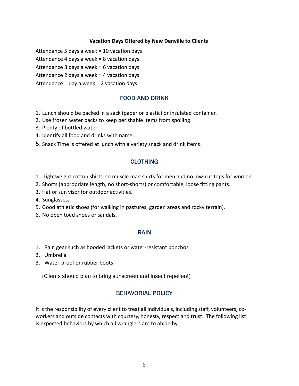#### **Vacation Days Offered by New Danville to Clients**

Attendance 5 days a week = 10 vacation days

Attendance 4 days a week = 8 vacation days

Attendance 3 days a week = 6 vacation days

Attendance 2 days a week = 4 vacation days

<span id="page-4-0"></span>Attendance 1 day a week = 2 vacation days

#### FOOD AND DRINK

- 1. Lunch should be packed in a sack (paper or plastic) or insulated container.
- 2. Use frozen water packs to keep perishable items from spoiling.
- 3. Plenty of bottled water.
- 4. Identify all food and drinks with name.
- 5. Snack Time is offered at lunch with a variety snack and drink items.

## CLOTHING

- <span id="page-4-1"></span>1. Lightweight cotton shirts-no muscle man shirts for men and no low-cut tops for women.
- 2. Shorts (appropriate length; no short-shorts) or comfortable, loose fitting pants.
- 3. Hat or sun visor for outdoor activities.
- 4. Sunglasses.
- 5. Good athletic shoes (for walking in pastures, garden areas and rocky terrain).
- 6. No open toed shoes or sandals.

#### RAIN

- <span id="page-4-2"></span>1. Rain gear such as hooded jackets or water-resistant ponchos
- 2. Umbrella
- 3. Water-proof or rubber boots

(Clients should plan to bring sunscreen and insect repellent)

## BEHAVORIAL POLICY

<span id="page-4-3"></span>It is the responsibility of every client to treat all individuals, including staff, volunteers, coworkers and outside contacts with courtesy, honesty, respect and trust. The following list is expected behaviors by which all wranglers are to abide by.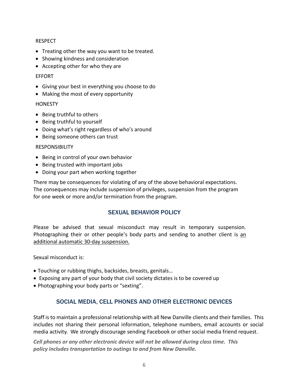#### <span id="page-5-0"></span>RESPECT

- Treating other the way you want to be treated.
- Showing kindness and consideration
- Accepting other for who they are

#### <span id="page-5-1"></span>EFFORT

- Giving your best in everything you choose to do
- Making the most of every opportunity

#### <span id="page-5-2"></span>**HONESTY**

- Being truthful to others
- Being truthful to yourself
- Doing what's right regardless of who's around
- Being someone others can trust

#### <span id="page-5-3"></span>RESPONSIBILITY

- Being in control of your own behavior
- Being trusted with important jobs
- Doing your part when working together

There may be consequences for violating of any of the above behavioral expectations. The consequences may include suspension of privileges, suspension from the program for one week or more and/or termination from the program.

## SEXUAL BEHAVIOR POLICY

<span id="page-5-4"></span>Please be advised that sexual misconduct may result in temporary suspension. Photographing their or other people's body parts and sending to another client is an additional automatic 30-day suspension.

Sexual misconduct is:

- Touching or rubbing thighs, backsides, breasts, genitals…
- Exposing any part of your body that civil society dictates is to be covered up
- <span id="page-5-5"></span>• Photographing your body parts or "sexting".

## SOCIAL MEDIA, CELL PHONES AND OTHER ELECTRONIC DEVICES

Staff is to maintain a professional relationship with all New Danville clients and their families. This includes not sharing their personal information, telephone numbers, email accounts or social media activity. We strongly discourage sending Facebook or other social media friend request.

*Cell phones or any other electronic device will not be allowed during class time. This policy includes transportation to outings to and from New Danville.*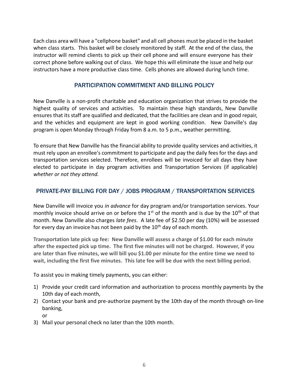Each class area will have a "cellphone basket" and all cell phones must be placed in the basket when class starts. This basket will be closely monitored by staff. At the end of the class, the instructor will remind clients to pick up their cell phone and will ensure everyone has their correct phone before walking out of class. We hope this will eliminate the issue and help our instructors have a more productive class time. Cells phones are allowed during lunch time.

## PARTICIPATION COMMITMENT AND BILLING POLICY

<span id="page-6-0"></span>New Danville is a non-profit charitable and education organization that strives to provide the highest quality of services and activities. To maintain these high standards, New Danville ensures that its staff are qualified and dedicated, that the facilities are clean and in good repair, and the vehicles and equipment are kept in good working condition. New Danville's day program is open Monday through Friday from 8 a.m. to 5 p.m., weather permitting.

To ensure that New Danville has the financial ability to provide quality services and activities, it must rely upon an enrollee's commitment to participate and pay the daily fees for the days and transportation services selected. Therefore, enrollees will be invoiced for all days they have elected to participate in day program activities and Transportation Services (if applicable) *whether or not they attend.*

## <span id="page-6-1"></span>PRIVATE-PAY BILLING FOR DAY / JOBS PROGRAM / TRANSPORTATION SERVICES

New Danville will invoice you *in advance* for day program and/or transportation services. Your monthly invoice should arrive on or before the  $1<sup>st</sup>$  of the month and is due by the  $10<sup>th</sup>$  of that month. New Danville also charges *late fees*. A late fee of \$2.50 per day (10%) will be assessed for every day an invoice has not been paid by the  $10<sup>th</sup>$  day of each month.

**Transportation late pick up fee: New Danville will assess a charge of \$1.00 for each minute after the expected pick up time. The first five minutes will not be charged. However, if you are later than five minutes, we will bill you \$1.00 per minute for the entire time we need to wait, including the first five minutes. This late fee will be due with the next billing period.**

To assist you in making timely payments, you can either:

- 1) Provide your credit card information and authorization to process monthly payments by the 10th day of each month,
- 2) Contact your bank and pre-authorize payment by the 10th day of the month through on-line banking,
	- or
- 3) Mail your personal check no later than the 10th month.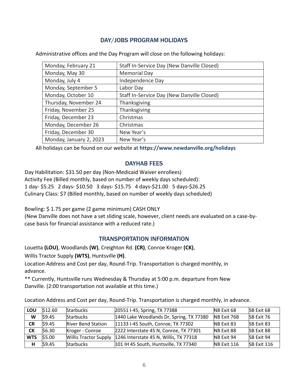## DAY/JOBS PROGRAM HOLIDAYS

<span id="page-7-0"></span>Administrative offices and the Day Program will close on the following holidays:

| Monday, February 21     | Staff In-Service Day (New Danville Closed) |
|-------------------------|--------------------------------------------|
| Monday, May 30          | <b>Memorial Day</b>                        |
| Monday, July 4          | Independence Day                           |
| Monday, September 5     | Labor Day                                  |
| Monday, October 10      | Staff In-Service Day (New Danville Closed) |
| Thursday, November 24   | Thanksgiving                               |
| Friday, November 25     | Thanksgiving                               |
| Friday, December 23     | Christmas                                  |
| Monday, December 26     | Christmas                                  |
| Friday, December 30     | New Year's                                 |
| Monday, January 2, 2023 | New Year's                                 |

All holidays can be found on our website at **[https://www.newdanville.org/holidays](about:blank)**

### DAYHAB FEES

<span id="page-7-1"></span>Day Habilitation: \$31.50 per day (Non-Medicaid Waiver enrollees) Activity Fee (Billed monthly, based on number of weekly days scheduled): 1 day- \$5.25 2 days- \$10.50 3 days- \$15.75 4 days-\$21.00 5 days-\$26.25 Culinary Class: \$7 (Billed monthly, based on number of weekly days scheduled)

Bowling: \$ 1.75 per game (2 game minimum) CASH ONLY

(New Danville does not have a set sliding scale, however, client needs are evaluated on a case-bycase basis for financial assistance with a reduced rate.)

## TRANSPORTATION INFORMATION

<span id="page-7-2"></span>Louetta **(LOU)**, Woodlands **(W)**, Creighton Rd. **(CR)**, Conroe Kroger **(CK)**,

Willis Tractor Supply **(WTS)**, Huntsville **(H)**.

Location Address and Cost per day, Round-Trip. Transportation is charged monthly, in advance.

\*\* Currently, Huntsville runs Wednesday & Thursday at 5:00 p.m. departure from New Danville. (2:00 transportation not available at this time.)

Location Address and Cost per day, Round-Trip. Transportation is charged monthly, in advance.

| LOU        | \$12.60 | <b>Starbucks</b>             | 20551 I-45, Spring, TX 77388             | NB Exit 68  | SB Exit 68         |
|------------|---------|------------------------------|------------------------------------------|-------------|--------------------|
| W          | 59.45   | <b>Starbucks</b>             | 1440 Lake Woodlands Dr, Spring, TX 77380 | NB Exit 76B | SB Exit 76         |
| <b>CR</b>  | 59.45   | <b>River Bend Station</b>    | 11133 I-45 South, Conroe, TX 77302       | NB Exit 83  | SB Exit 83         |
| <b>CK</b>  | \$6.30  | Kroger - Conroe              | 2222 Interstate 45 N, Conroe, TX 77301   | NB Exit 88  | SB Exit 88         |
| <b>WTS</b> | \$5.00  | <b>Willis Tractor Supply</b> | 1246 Interstate 45 N, Willis, TX 77318   | NB Exit 94  | SB Exit 94         |
| н          | \$9.45  | <b>Starbucks</b>             | 101 IH 45 South, Huntsville, TX 77340    | NB Exit 116 | <b>SB Exit 116</b> |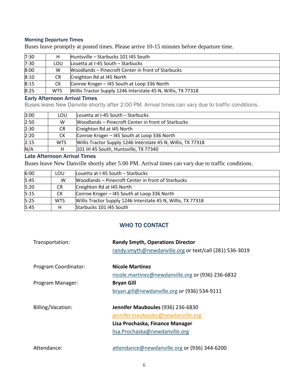#### Morning Departure Times

Buses leave promptly at posted times. Please arrive 10-15 minutes before departure time.

| 7:30 | н          | Huntsville – Starbucks 101 I45 South                         |
|------|------------|--------------------------------------------------------------|
| 7:30 | LOU        | Louetta at I-45 South - Starbucks                            |
| 8:00 | W          | Woodlands – Pinecroft Center in front of Starbucks           |
| 8:10 | CR.        | Creighton Rd at I45 North                                    |
| 8:15 | СK         | Conroe Kroger - I45 South at Loop 336 North                  |
| 8:25 | <b>WTS</b> | Willis Tractor Supply 1246 Interstate 45 N, Willis, TX 77318 |

#### Early Afternoon Arrival Times

Buses leave New Danville shortly after 2:00 PM. Arrival times can vary due to traffic conditions.

| 3:00 | LOU.       | Louetta at I-45 South - Starbucks                            |
|------|------------|--------------------------------------------------------------|
| 2:50 | W          | <b>Woodlands – Pinecroft Center in front of Starbucks</b>    |
| 2:30 | CR.        | Creighton Rd at I45 North                                    |
| 2:20 | <b>CK</b>  | Conroe Kroger - 145 South at Loop 336 North                  |
| 2:15 | <b>WTS</b> | Willis Tractor Supply 1246 Interstate 45 N, Willis, TX 77318 |
| N/A  |            | 101 IH 45 South, Huntsville, TX 77340                        |

#### Late Afternoon Arrival Times

Buses leave New Danville shortly after 5:00 PM. Arrival times can vary due to traffic conditions.

| 6:00 | LOU        | Louetta at I-45 South – Starbucks                            |
|------|------------|--------------------------------------------------------------|
| 5:45 | W          | Woodlands – Pinecroft Center in front of Starbucks           |
| 5:20 | <b>CR</b>  | Creighton Rd at I45 North                                    |
| 5:15 | СK         | Conroe Kroger - I45 South at Loop 336 North                  |
| 5:25 | <b>WTS</b> | Willis Tractor Supply 1246 Interstate 45 N, Willis, TX 77318 |
| 5:45 | н          | Starbucks 101 I45 South                                      |

## WHO TO CONTACT

<span id="page-8-0"></span>

| Transportation:      | <b>Randy Smyth, Operations Director</b><br>randy.smyth@newdanville.org or text/call (281) 536-3019 |
|----------------------|----------------------------------------------------------------------------------------------------|
| Program Coordinator: | <b>Nicole Martinez</b>                                                                             |
|                      | nicole.martinez@newdanville.org or (936) 236-6832                                                  |
| Program Manager:     | <b>Bryan Gill</b>                                                                                  |
|                      | bryan.gill@newdanville.org or (936) 534-9111                                                       |
|                      |                                                                                                    |
| Billing/Vacation:    | Jennifer Mauboules (936) 236-6830                                                                  |
|                      | jennifer.mauboules@newdanville.org                                                                 |
|                      | Lisa Prochaska, Finance Manager                                                                    |
|                      | lisa.Prochaska@newdanville.org                                                                     |
|                      |                                                                                                    |
| Attendance:          | attendance@newdanville.org or (936) 344-6200                                                       |